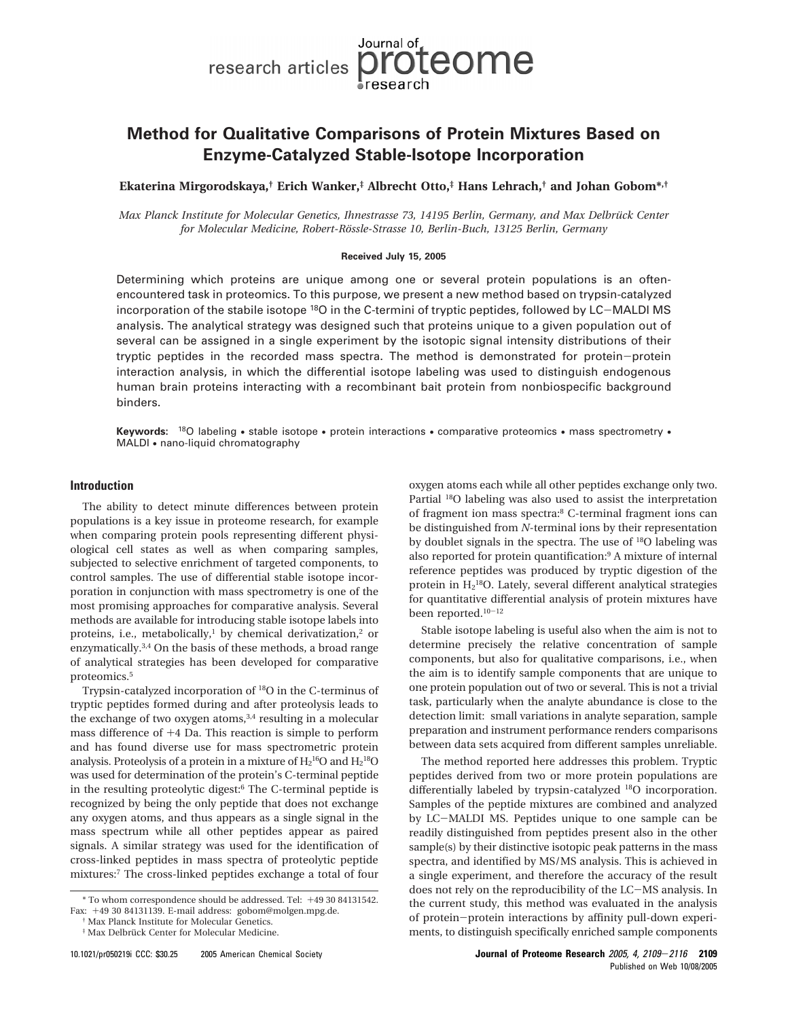# **Method for Qualitative Comparisons of Protein Mixtures Based on Enzyme-Catalyzed Stable-Isotope Incorporation**

**Sournal of**<br>research articles **proteome** 

**Ekaterina Mirgorodskaya,† Erich Wanker,‡ Albrecht Otto,‡ Hans Lehrach,† and Johan Gobom\*,†**

*Max Planck Institute for Molecular Genetics, Ihnestrasse 73, 14195 Berlin, Germany, and Max Delbrück Center for Molecular Medicine, Robert-Ro¨ssle-Strasse 10, Berlin-Buch, 13125 Berlin, Germany*

#### **Received July 15, 2005**

Determining which proteins are unique among one or several protein populations is an oftenencountered task in proteomics. To this purpose, we present a new method based on trypsin-catalyzed incorporation of the stabile isotope <sup>18</sup>O in the C-termini of tryptic peptides, followed by LC-MALDI MS analysis. The analytical strategy was designed such that proteins unique to a given population out of several can be assigned in a single experiment by the isotopic signal intensity distributions of their tryptic peptides in the recorded mass spectra. The method is demonstrated for protein-protein interaction analysis, in which the differential isotope labeling was used to distinguish endogenous human brain proteins interacting with a recombinant bait protein from nonbiospecific background binders.

**Keywords:** 18O labeling • stable isotope • protein interactions • comparative proteomics • mass spectrometry • MALDI • nano-liquid chromatography

#### **Introduction**

The ability to detect minute differences between protein populations is a key issue in proteome research, for example when comparing protein pools representing different physiological cell states as well as when comparing samples, subjected to selective enrichment of targeted components, to control samples. The use of differential stable isotope incorporation in conjunction with mass spectrometry is one of the most promising approaches for comparative analysis. Several methods are available for introducing stable isotope labels into proteins, i.e., metabolically,<sup>1</sup> by chemical derivatization,<sup>2</sup> or enzymatically.3,4 On the basis of these methods, a broad range of analytical strategies has been developed for comparative proteomics.5

Trypsin-catalyzed incorporation of 18O in the C-terminus of tryptic peptides formed during and after proteolysis leads to the exchange of two oxygen atoms, $3,4$  resulting in a molecular mass difference of +4 Da. This reaction is simple to perform and has found diverse use for mass spectrometric protein analysis. Proteolysis of a protein in a mixture of  $\rm H_2^{16}O$  and  $\rm H_2^{18}O$ was used for determination of the protein's C-terminal peptide in the resulting proteolytic digest:6 The C-terminal peptide is recognized by being the only peptide that does not exchange any oxygen atoms, and thus appears as a single signal in the mass spectrum while all other peptides appear as paired signals. A similar strategy was used for the identification of cross-linked peptides in mass spectra of proteolytic peptide mixtures:7 The cross-linked peptides exchange a total of four oxygen atoms each while all other peptides exchange only two. Partial <sup>18</sup>O labeling was also used to assist the interpretation of fragment ion mass spectra:8 C-terminal fragment ions can be distinguished from *N*-terminal ions by their representation by doublet signals in the spectra. The use of 18O labeling was also reported for protein quantification:9 A mixture of internal reference peptides was produced by tryptic digestion of the protein in H<sub>2</sub><sup>18</sup>O. Lately, several different analytical strategies for quantitative differential analysis of protein mixtures have been reported. $^{\mathrm{10-12}}$ 

Stable isotope labeling is useful also when the aim is not to determine precisely the relative concentration of sample components, but also for qualitative comparisons, i.e., when the aim is to identify sample components that are unique to one protein population out of two or several. This is not a trivial task, particularly when the analyte abundance is close to the detection limit: small variations in analyte separation, sample preparation and instrument performance renders comparisons between data sets acquired from different samples unreliable.

The method reported here addresses this problem. Tryptic peptides derived from two or more protein populations are differentially labeled by trypsin-catalyzed 18O incorporation. Samples of the peptide mixtures are combined and analyzed by LC-MALDI MS. Peptides unique to one sample can be readily distinguished from peptides present also in the other sample(s) by their distinctive isotopic peak patterns in the mass spectra, and identified by MS/MS analysis. This is achieved in a single experiment, and therefore the accuracy of the result does not rely on the reproducibility of the LC-MS analysis. In the current study, this method was evaluated in the analysis of protein-protein interactions by affinity pull-down experiments, to distinguish specifically enriched sample components

<sup>\*</sup> To whom correspondence should be addressed. Tel: +49 30 84131542. Fax: <sup>+</sup>49 30 84131139. E-mail address: gobom@molgen.mpg.de. † Max Planck Institute for Molecular Genetics.

<sup>&</sup>lt;sup>‡</sup> Max Delbrück Center for Molecular Medicine.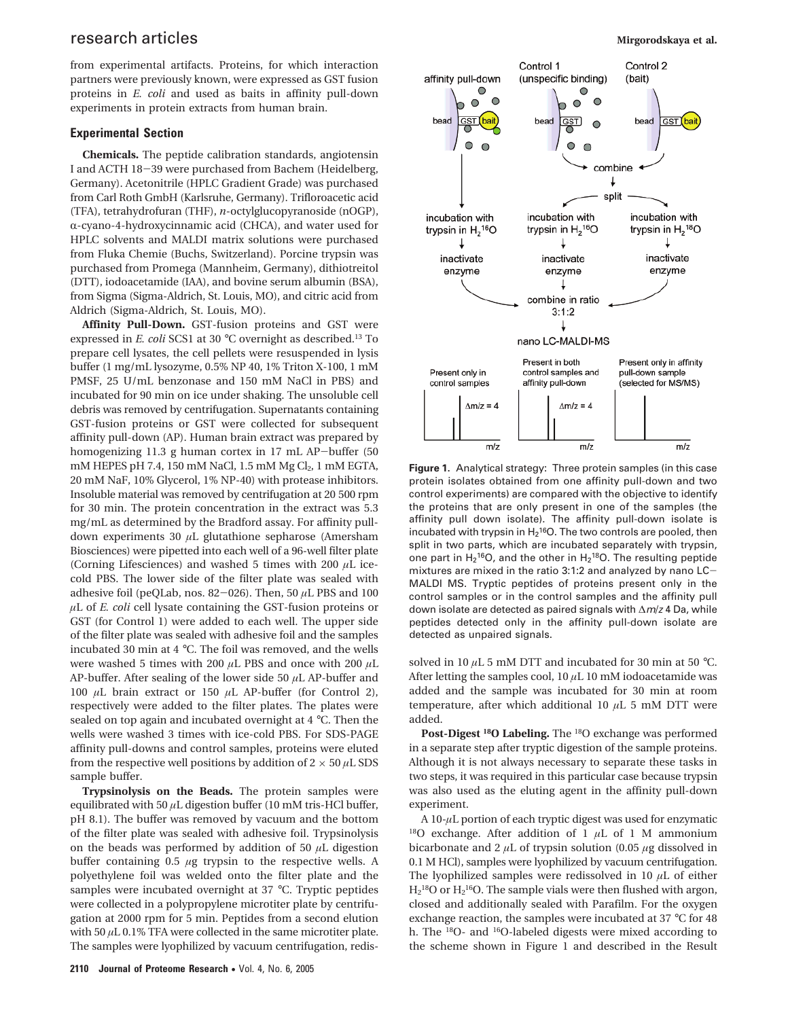## **research articles Mirgorodskaya et al.**

from experimental artifacts. Proteins, for which interaction partners were previously known, were expressed as GST fusion proteins in *E. coli* and used as baits in affinity pull-down experiments in protein extracts from human brain.

#### **Experimental Section**

**Chemicals.** The peptide calibration standards, angiotensin I and ACTH 18-39 were purchased from Bachem (Heidelberg, Germany). Acetonitrile (HPLC Gradient Grade) was purchased from Carl Roth GmbH (Karlsruhe, Germany). Trifloroacetic acid (TFA), tetrahydrofuran (THF), *n*-octylglucopyranoside (nOGP), R-cyano-4-hydroxycinnamic acid (CHCA), and water used for HPLC solvents and MALDI matrix solutions were purchased from Fluka Chemie (Buchs, Switzerland). Porcine trypsin was purchased from Promega (Mannheim, Germany), dithiotreitol (DTT), iodoacetamide (IAA), and bovine serum albumin (BSA), from Sigma (Sigma-Aldrich, St. Louis, MO), and citric acid from Aldrich (Sigma-Aldrich, St. Louis, MO).

**Affinity Pull-Down.** GST-fusion proteins and GST were expressed in *E. coli* SCS1 at 30 °C overnight as described.13 To prepare cell lysates, the cell pellets were resuspended in lysis buffer (1 mg/mL lysozyme, 0.5% NP 40, 1% Triton X-100, 1 mM PMSF, 25 U/mL benzonase and 150 mM NaCl in PBS) and incubated for 90 min on ice under shaking. The unsoluble cell debris was removed by centrifugation. Supernatants containing GST-fusion proteins or GST were collected for subsequent affinity pull-down (AP). Human brain extract was prepared by homogenizing 11.3 g human cortex in 17 mL AP-buffer (50 mM HEPES pH 7.4, 150 mM NaCl, 1.5 mM Mg Cl<sub>2</sub>, 1 mM EGTA, 20 mM NaF, 10% Glycerol, 1% NP-40) with protease inhibitors. Insoluble material was removed by centrifugation at 20 500 rpm for 30 min. The protein concentration in the extract was 5.3 mg/mL as determined by the Bradford assay. For affinity pulldown experiments 30 *µ*L glutathione sepharose (Amersham Biosciences) were pipetted into each well of a 96-well filter plate (Corning Lifesciences) and washed 5 times with 200 *µ*L icecold PBS. The lower side of the filter plate was sealed with adhesive foil (peQLab, nos. 82-026). Then, 50 *<sup>µ</sup>*L PBS and 100 *µ*L of *E. coli* cell lysate containing the GST-fusion proteins or GST (for Control 1) were added to each well. The upper side of the filter plate was sealed with adhesive foil and the samples incubated 30 min at 4 °C. The foil was removed, and the wells were washed 5 times with 200 *µ*L PBS and once with 200 *µ*L AP-buffer. After sealing of the lower side 50 *µ*L AP-buffer and 100 *µ*L brain extract or 150 *µ*L AP-buffer (for Control 2), respectively were added to the filter plates. The plates were sealed on top again and incubated overnight at 4 °C. Then the wells were washed 3 times with ice-cold PBS. For SDS-PAGE affinity pull-downs and control samples, proteins were eluted from the respective well positions by addition of  $2 \times 50 \mu L$  SDS sample buffer.

**Trypsinolysis on the Beads.** The protein samples were equilibrated with 50 *µ*L digestion buffer (10 mM tris-HCl buffer, pH 8.1). The buffer was removed by vacuum and the bottom of the filter plate was sealed with adhesive foil. Trypsinolysis on the beads was performed by addition of 50 *µ*L digestion buffer containing 0.5 *µ*g trypsin to the respective wells. A polyethylene foil was welded onto the filter plate and the samples were incubated overnight at 37 °C. Tryptic peptides were collected in a polypropylene microtiter plate by centrifugation at 2000 rpm for 5 min. Peptides from a second elution with 50  $\mu$ L 0.1% TFA were collected in the same microtiter plate. The samples were lyophilized by vacuum centrifugation, redis-



**Figure 1.** Analytical strategy: Three protein samples (in this case protein isolates obtained from one affinity pull-down and two control experiments) are compared with the objective to identify the proteins that are only present in one of the samples (the affinity pull down isolate). The affinity pull-down isolate is incubated with trypsin in  $H_2$ <sup>16</sup>O. The two controls are pooled, then split in two parts, which are incubated separately with trypsin, one part in  $H_2$ <sup>16</sup>O, and the other in  $H_2$ <sup>18</sup>O. The resulting peptide mixtures are mixed in the ratio 3:1:2 and analyzed by nano LC-MALDI MS. Tryptic peptides of proteins present only in the control samples or in the control samples and the affinity pull down isolate are detected as paired signals with ∆m/<sup>z</sup> 4 Da, while peptides detected only in the affinity pull-down isolate are detected as unpaired signals.

solved in 10  $\mu$ L 5 mM DTT and incubated for 30 min at 50 °C. After letting the samples cool, 10 *µ*L 10 mM iodoacetamide was added and the sample was incubated for 30 min at room temperature, after which additional 10 *µ*L 5 mM DTT were added.

**Post-Digest 18O Labeling.** The 18O exchange was performed in a separate step after tryptic digestion of the sample proteins. Although it is not always necessary to separate these tasks in two steps, it was required in this particular case because trypsin was also used as the eluting agent in the affinity pull-down experiment.

A 10-*µ*L portion of each tryptic digest was used for enzymatic 18O exchange. After addition of 1 *µ*L of 1 M ammonium bicarbonate and 2  $\mu$ L of trypsin solution (0.05  $\mu$ g dissolved in 0.1 M HCl), samples were lyophilized by vacuum centrifugation. The lyophilized samples were redissolved in 10 *µ*L of either  $\rm H_2^{18}O$  or  $\rm H_2^{16}O$ . The sample vials were then flushed with argon, closed and additionally sealed with Parafilm. For the oxygen exchange reaction, the samples were incubated at 37 °C for 48 h. The 18O- and 16O-labeled digests were mixed according to the scheme shown in Figure 1 and described in the Result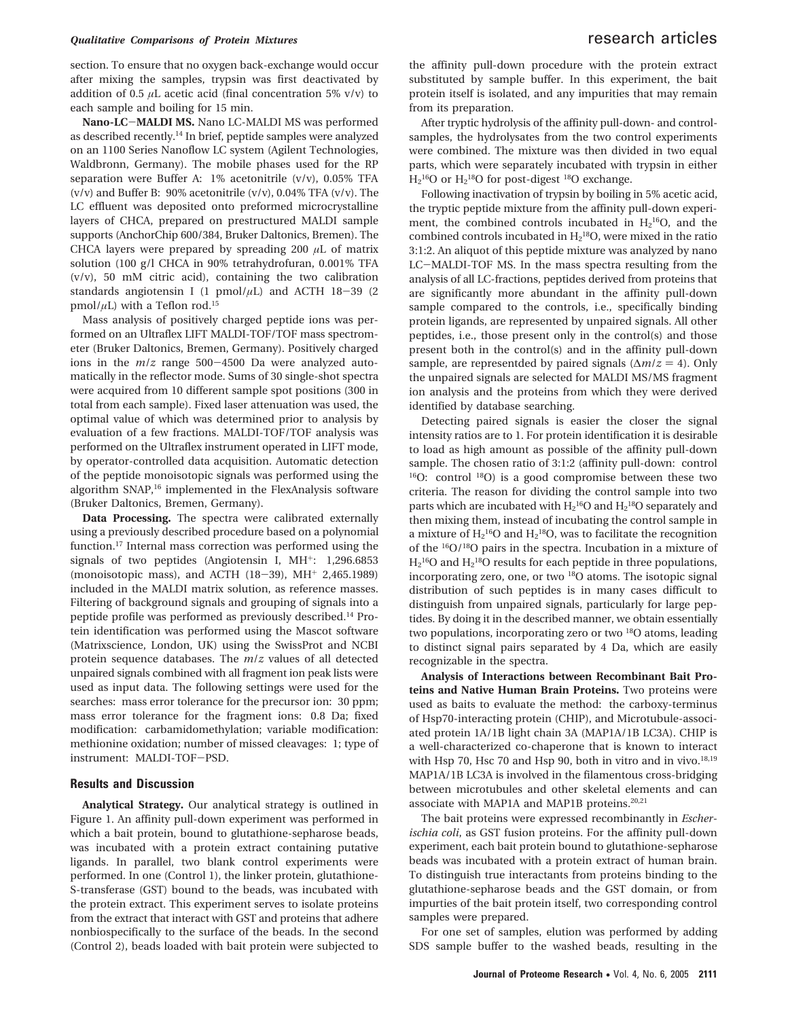## *Qualitative Comparisons of Protein Mixtures research articles*

section. To ensure that no oxygen back-exchange would occur after mixing the samples, trypsin was first deactivated by addition of 0.5  $\mu$ L acetic acid (final concentration 5% v/v) to each sample and boiling for 15 min.

**Nano-LC**-**MALDI MS.** Nano LC-MALDI MS was performed as described recently.14 In brief, peptide samples were analyzed on an 1100 Series Nanoflow LC system (Agilent Technologies, Waldbronn, Germany). The mobile phases used for the RP separation were Buffer A: 1% acetonitrile (v/v), 0.05% TFA  $(v/v)$  and Buffer B: 90% acetonitrile  $(v/v)$ , 0.04% TFA  $(v/v)$ . The LC effluent was deposited onto preformed microcrystalline layers of CHCA, prepared on prestructured MALDI sample supports (AnchorChip 600/384, Bruker Daltonics, Bremen). The CHCA layers were prepared by spreading 200 *µ*L of matrix solution (100 g/l CHCA in 90% tetrahydrofuran, 0.001% TFA (v/v), 50 mM citric acid), containing the two calibration standards angiotensin I (1 pmol/*µ*L) and ACTH 18-39 (2 pmol/ $\mu$ L) with a Teflon rod.<sup>15</sup>

Mass analysis of positively charged peptide ions was performed on an Ultraflex LIFT MALDI-TOF/TOF mass spectrometer (Bruker Daltonics, Bremen, Germany). Positively charged ions in the *<sup>m</sup>*/*<sup>z</sup>* range 500-4500 Da were analyzed automatically in the reflector mode. Sums of 30 single-shot spectra were acquired from 10 different sample spot positions (300 in total from each sample). Fixed laser attenuation was used, the optimal value of which was determined prior to analysis by evaluation of a few fractions. MALDI-TOF/TOF analysis was performed on the Ultraflex instrument operated in LIFT mode, by operator-controlled data acquisition. Automatic detection of the peptide monoisotopic signals was performed using the algorithm SNAP,<sup>16</sup> implemented in the FlexAnalysis software (Bruker Daltonics, Bremen, Germany).

**Data Processing.** The spectra were calibrated externally using a previously described procedure based on a polynomial function.17 Internal mass correction was performed using the signals of two peptides (Angiotensin I, MH<sup>+</sup>: 1,296.6853 (monoisotopic mass), and ACTH (18-39), MH<sup>+</sup> 2,465.1989) included in the MALDI matrix solution, as reference masses. Filtering of background signals and grouping of signals into a peptide profile was performed as previously described.14 Protein identification was performed using the Mascot software (Matrixscience, London, UK) using the SwissProt and NCBI protein sequence databases. The *m*/*z* values of all detected unpaired signals combined with all fragment ion peak lists were used as input data. The following settings were used for the searches: mass error tolerance for the precursor ion: 30 ppm; mass error tolerance for the fragment ions: 0.8 Da; fixed modification: carbamidomethylation; variable modification: methionine oxidation; number of missed cleavages: 1; type of instrument: MALDI-TOF-PSD.

#### **Results and Discussion**

**Analytical Strategy.** Our analytical strategy is outlined in Figure 1. An affinity pull-down experiment was performed in which a bait protein, bound to glutathione-sepharose beads, was incubated with a protein extract containing putative ligands. In parallel, two blank control experiments were performed. In one (Control 1), the linker protein, glutathione-S-transferase (GST) bound to the beads, was incubated with the protein extract. This experiment serves to isolate proteins from the extract that interact with GST and proteins that adhere nonbiospecifically to the surface of the beads. In the second (Control 2), beads loaded with bait protein were subjected to

the affinity pull-down procedure with the protein extract substituted by sample buffer. In this experiment, the bait protein itself is isolated, and any impurities that may remain from its preparation.

After tryptic hydrolysis of the affinity pull-down- and controlsamples, the hydrolysates from the two control experiments were combined. The mixture was then divided in two equal parts, which were separately incubated with trypsin in either  $H<sub>2</sub><sup>16</sup>O$  or  $H<sub>2</sub><sup>18</sup>O$  for post-digest <sup>18</sup>O exchange.

Following inactivation of trypsin by boiling in 5% acetic acid, the tryptic peptide mixture from the affinity pull-down experiment, the combined controls incubated in  $H_2^{16}O$ , and the combined controls incubated in  $H_2^{18}O$ , were mixed in the ratio 3:1:2. An aliquot of this peptide mixture was analyzed by nano LC-MALDI-TOF MS. In the mass spectra resulting from the analysis of all LC-fractions, peptides derived from proteins that are significantly more abundant in the affinity pull-down sample compared to the controls, i.e., specifically binding protein ligands, are represented by unpaired signals. All other peptides, i.e., those present only in the control(s) and those present both in the control(s) and in the affinity pull-down sample, are representded by paired signals  $(\Delta m/z = 4)$ . Only the unpaired signals are selected for MALDI MS/MS fragment ion analysis and the proteins from which they were derived identified by database searching.

Detecting paired signals is easier the closer the signal intensity ratios are to 1. For protein identification it is desirable to load as high amount as possible of the affinity pull-down sample. The chosen ratio of 3:1:2 (affinity pull-down: control  $16$ O: control  $18$ O) is a good compromise between these two criteria. The reason for dividing the control sample into two parts which are incubated with  $H_2^{16}O$  and  $H_2^{18}O$  separately and then mixing them, instead of incubating the control sample in a mixture of  $H_2^{16}O$  and  $H_2^{18}O$ , was to facilitate the recognition of the 16O/18O pairs in the spectra. Incubation in a mixture of  $\rm H_2^{16}O$  and  $\rm H_2^{18}O$  results for each peptide in three populations, incorporating zero, one, or two  $18$ O atoms. The isotopic signal distribution of such peptides is in many cases difficult to distinguish from unpaired signals, particularly for large peptides. By doing it in the described manner, we obtain essentially two populations, incorporating zero or two <sup>18</sup>O atoms, leading to distinct signal pairs separated by 4 Da, which are easily recognizable in the spectra.

**Analysis of Interactions between Recombinant Bait Proteins and Native Human Brain Proteins.** Two proteins were used as baits to evaluate the method: the carboxy-terminus of Hsp70-interacting protein (CHIP), and Microtubule-associated protein 1A/1B light chain 3A (MAP1A/1B LC3A). CHIP is a well-characterized co-chaperone that is known to interact with Hsp 70, Hsc 70 and Hsp 90, both in vitro and in vivo. $18,19$ MAP1A/1B LC3A is involved in the filamentous cross-bridging between microtubules and other skeletal elements and can associate with MAP1A and MAP1B proteins.20,21

The bait proteins were expressed recombinantly in *Escherischia coli*, as GST fusion proteins. For the affinity pull-down experiment, each bait protein bound to glutathione-sepharose beads was incubated with a protein extract of human brain. To distinguish true interactants from proteins binding to the glutathione-sepharose beads and the GST domain, or from impurties of the bait protein itself, two corresponding control samples were prepared.

For one set of samples, elution was performed by adding SDS sample buffer to the washed beads, resulting in the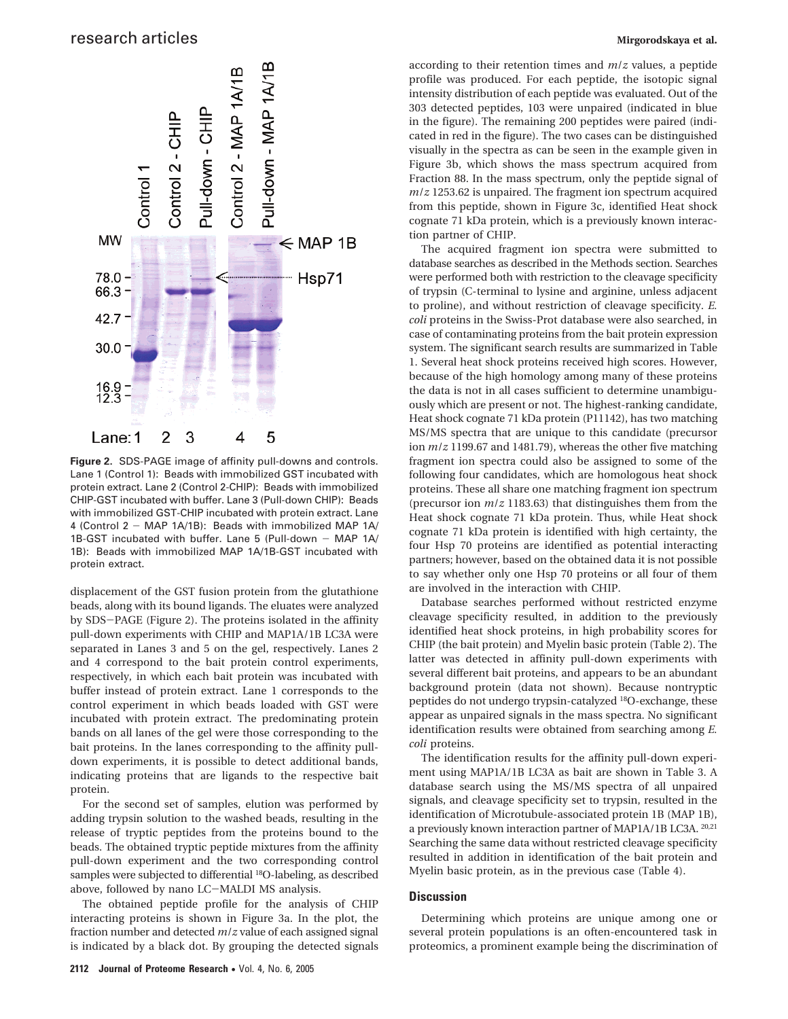

**Figure 2.** SDS-PAGE image of affinity pull-downs and controls. Lane 1 (Control 1): Beads with immobilized GST incubated with protein extract. Lane 2 (Control 2-CHIP): Beads with immobilized CHIP-GST incubated with buffer. Lane 3 (Pull-down CHIP): Beads with immobilized GST-CHIP incubated with protein extract. Lane 4 (Control  $2 - MAP$  1A/1B): Beads with immobilized MAP 1A/ 1B-GST incubated with buffer. Lane 5 (Pull-down  $-$  MAP 1A/ 1B): Beads with immobilized MAP 1A/1B-GST incubated with protein extract.

displacement of the GST fusion protein from the glutathione beads, along with its bound ligands. The eluates were analyzed by SDS-PAGE (Figure 2). The proteins isolated in the affinity pull-down experiments with CHIP and MAP1A/1B LC3A were separated in Lanes 3 and 5 on the gel, respectively. Lanes 2 and 4 correspond to the bait protein control experiments, respectively, in which each bait protein was incubated with buffer instead of protein extract. Lane 1 corresponds to the control experiment in which beads loaded with GST were incubated with protein extract. The predominating protein bands on all lanes of the gel were those corresponding to the bait proteins. In the lanes corresponding to the affinity pulldown experiments, it is possible to detect additional bands, indicating proteins that are ligands to the respective bait protein.

For the second set of samples, elution was performed by adding trypsin solution to the washed beads, resulting in the release of tryptic peptides from the proteins bound to the beads. The obtained tryptic peptide mixtures from the affinity pull-down experiment and the two corresponding control samples were subjected to differential <sup>18</sup>O-labeling, as described above, followed by nano LC-MALDI MS analysis.

The obtained peptide profile for the analysis of CHIP interacting proteins is shown in Figure 3a. In the plot, the fraction number and detected *m*/*z* value of each assigned signal is indicated by a black dot. By grouping the detected signals

according to their retention times and *m*/*z* values, a peptide profile was produced. For each peptide, the isotopic signal intensity distribution of each peptide was evaluated. Out of the 303 detected peptides, 103 were unpaired (indicated in blue in the figure). The remaining 200 peptides were paired (indicated in red in the figure). The two cases can be distinguished visually in the spectra as can be seen in the example given in Figure 3b, which shows the mass spectrum acquired from Fraction 88. In the mass spectrum, only the peptide signal of *m*/*z* 1253.62 is unpaired. The fragment ion spectrum acquired from this peptide, shown in Figure 3c, identified Heat shock cognate 71 kDa protein, which is a previously known interaction partner of CHIP.

The acquired fragment ion spectra were submitted to database searches as described in the Methods section. Searches were performed both with restriction to the cleavage specificity of trypsin (C-terminal to lysine and arginine, unless adjacent to proline), and without restriction of cleavage specificity. *E. coli* proteins in the Swiss-Prot database were also searched, in case of contaminating proteins from the bait protein expression system. The significant search results are summarized in Table 1. Several heat shock proteins received high scores. However, because of the high homology among many of these proteins the data is not in all cases sufficient to determine unambiguously which are present or not. The highest-ranking candidate, Heat shock cognate 71 kDa protein (P11142), has two matching MS/MS spectra that are unique to this candidate (precursor ion *m*/*z* 1199.67 and 1481.79), whereas the other five matching fragment ion spectra could also be assigned to some of the following four candidates, which are homologous heat shock proteins. These all share one matching fragment ion spectrum (precursor ion *m*/*z* 1183.63) that distinguishes them from the Heat shock cognate 71 kDa protein. Thus, while Heat shock cognate 71 kDa protein is identified with high certainty, the four Hsp 70 proteins are identified as potential interacting partners; however, based on the obtained data it is not possible to say whether only one Hsp 70 proteins or all four of them are involved in the interaction with CHIP.

Database searches performed without restricted enzyme cleavage specificity resulted, in addition to the previously identified heat shock proteins, in high probability scores for CHIP (the bait protein) and Myelin basic protein (Table 2). The latter was detected in affinity pull-down experiments with several different bait proteins, and appears to be an abundant background protein (data not shown). Because nontryptic peptides do not undergo trypsin-catalyzed 18O-exchange, these appear as unpaired signals in the mass spectra. No significant identification results were obtained from searching among *E. coli* proteins.

The identification results for the affinity pull-down experiment using MAP1A/1B LC3A as bait are shown in Table 3. A database search using the MS/MS spectra of all unpaired signals, and cleavage specificity set to trypsin, resulted in the identification of Microtubule-associated protein 1B (MAP 1B), a previously known interaction partner of MAP1A/1B LC3A. 20,21 Searching the same data without restricted cleavage specificity resulted in addition in identification of the bait protein and Myelin basic protein, as in the previous case (Table 4).

### **Discussion**

Determining which proteins are unique among one or several protein populations is an often-encountered task in proteomics, a prominent example being the discrimination of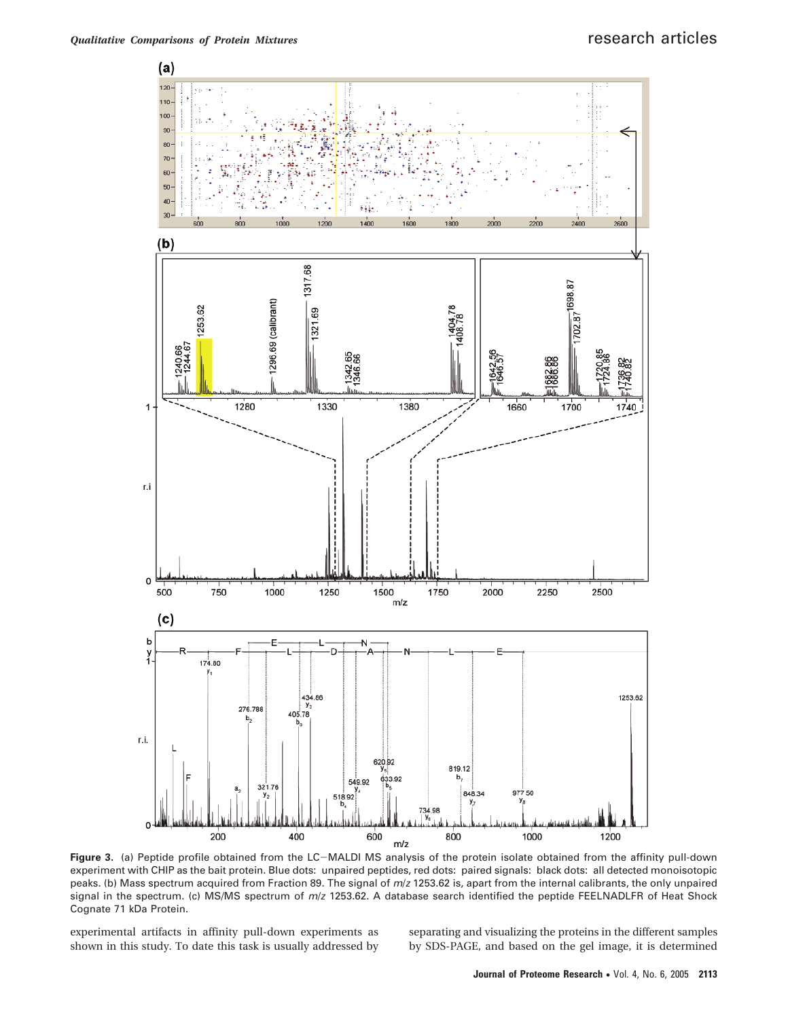

**Figure 3.** (a) Peptide profile obtained from the LC-MALDI MS analysis of the protein isolate obtained from the affinity pull-down experiment with CHIP as the bait protein. Blue dots: unpaired peptides, red dots: paired signals: black dots: all detected monoisotopic peaks. (b) Mass spectrum acquired from Fraction 89. The signal of  $m/z$  1253.62 is, apart from the internal calibrants, the only unpaired signal in the spectrum. (c) MS/MS spectrum of  $m/z$  1253.62. A database search identified the peptide FEELNADLFR of Heat Shock Cognate 71 kDa Protein.

experimental artifacts in affinity pull-down experiments as shown in this study. To date this task is usually addressed by

separating and visualizing the proteins in the different samples by SDS-PAGE, and based on the gel image, it is determined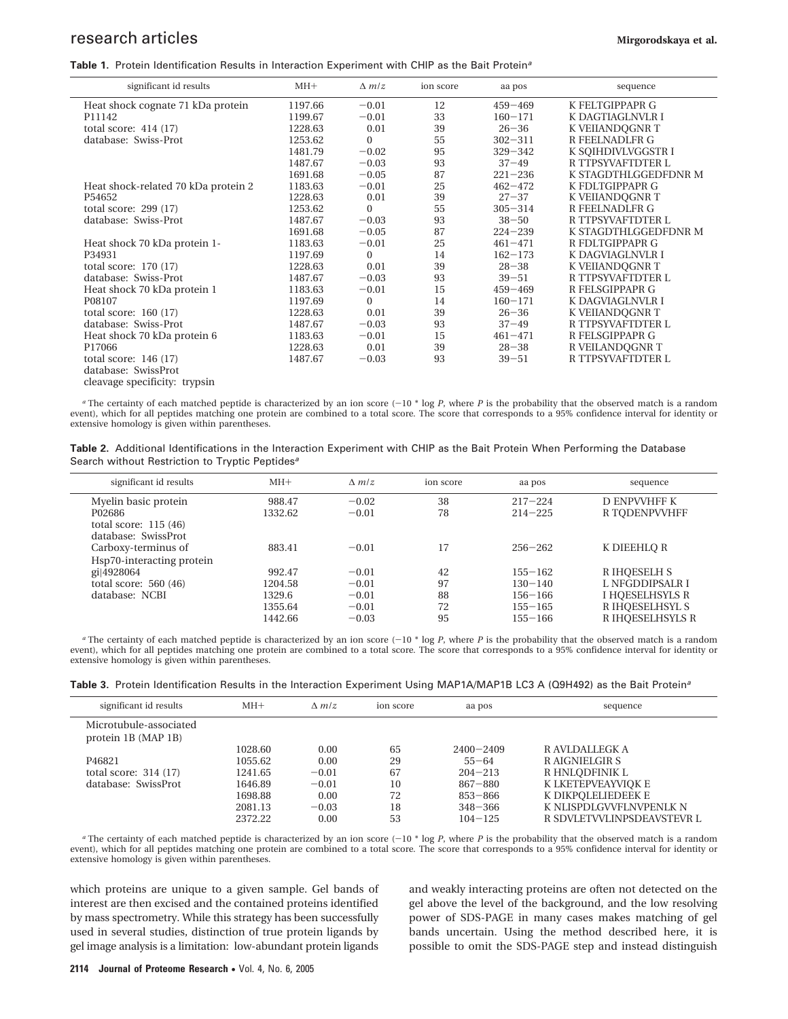# **research articles Mirgorodskaya et al.**

|  | Table 1. Protein Identification Results in Interaction Experiment with CHIP as the Bait Protein <sup>a</sup> |  |  |  |  |  |  |  |  |
|--|--------------------------------------------------------------------------------------------------------------|--|--|--|--|--|--|--|--|
|--|--------------------------------------------------------------------------------------------------------------|--|--|--|--|--|--|--|--|

| significant id results              | $MH+$   | $\Delta$ m/z | ion score | aa pos      | sequence              |
|-------------------------------------|---------|--------------|-----------|-------------|-----------------------|
| Heat shock cognate 71 kDa protein   | 1197.66 | $-0.01$      | 12        | $459 - 469$ | K FELTGIPPAPR G       |
| P11142                              | 1199.67 | $-0.01$      | 33        | $160 - 171$ | K DAGTIAGLNVLR I      |
| total score: $414(17)$              | 1228.63 | 0.01         | 39        | $26 - 36$   | K VEIIANDQGNR T       |
| database: Swiss-Prot                | 1253.62 | $\mathbf{0}$ | 55        | $302 - 311$ | <b>R FEELNADLFR G</b> |
|                                     | 1481.79 | $-0.02$      | 95        | $329 - 342$ | K SQIHDIVLVGGSTR I    |
|                                     | 1487.67 | $-0.03$      | 93        | $37 - 49$   | R TTPSYVAFTDTER L     |
|                                     | 1691.68 | $-0.05$      | 87        | $221 - 236$ | K STAGDTHLGGEDFDNR M  |
| Heat shock-related 70 kDa protein 2 | 1183.63 | $-0.01$      | 25        | $462 - 472$ | K FDLTGIPPAPR G       |
| P54652                              | 1228.63 | 0.01         | 39        | $27 - 37$   | K VEIIANDQGNR T       |
| total score: $299(17)$              | 1253.62 | $\Omega$     | 55        | $305 - 314$ | <b>R FEELNADLFR G</b> |
| database: Swiss-Prot                | 1487.67 | $-0.03$      | 93        | $38 - 50$   | R TTPSYVAFTDTER L     |
|                                     | 1691.68 | $-0.05$      | 87        | $224 - 239$ | K STAGDTHLGGEDFDNR M  |
| Heat shock 70 kDa protein 1-        | 1183.63 | $-0.01$      | 25        | $461 - 471$ | R FDLTGIPPAPR G       |
| P34931                              | 1197.69 | $\Omega$     | 14        | $162 - 173$ | K DAGVIAGLNVLR I      |
| total score: $170(17)$              | 1228.63 | 0.01         | 39        | $28 - 38$   | K VEIIANDQGNR T       |
| database: Swiss-Prot                | 1487.67 | $-0.03$      | 93        | $39 - 51$   | R TTPSYVAFTDTER L     |
| Heat shock 70 kDa protein 1         | 1183.63 | $-0.01$      | 15        | $459 - 469$ | R FELSGIPPAPR G       |
| P08107                              | 1197.69 | $\Omega$     | 14        | $160 - 171$ | K DAGVIAGLNVLR I      |
| total score: $160(17)$              | 1228.63 | 0.01         | 39        | $26 - 36$   | K VEIIANDQGNR T       |
| database: Swiss-Prot                | 1487.67 | $-0.03$      | 93        | $37 - 49$   | R TTPSYVAFTDTER L     |
| Heat shock 70 kDa protein 6         | 1183.63 | $-0.01$      | 15        | $461 - 471$ | R FELSGIPPAPR G       |
| P17066                              | 1228.63 | 0.01         | 39        | $28 - 38$   | R VEILANDQGNR T       |
| total score: $146(17)$              | 1487.67 | $-0.03$      | 93        | $39 - 51$   | R TTPSYVAFTDTER L     |
| database: SwissProt                 |         |              |           |             |                       |
| cleavage specificity: trypsin       |         |              |           |             |                       |

*<sup>a</sup>* The certainty of each matched peptide is characterized by an ion score (-10 \* log *<sup>P</sup>*, where *<sup>P</sup>* is the probability that the observed match is a random event), which for all peptides matching one protein are combined to a total score*.* The score that corresponds to a 95% confidence interval for identity or extensive homology is given within parentheses.

|  | Table 2. Additional Identifications in the Interaction Experiment with CHIP as the Bait Protein When Performing the Database |  |  |  |  |  |  |
|--|------------------------------------------------------------------------------------------------------------------------------|--|--|--|--|--|--|
|  | Search without Restriction to Tryptic Peptides <sup>a</sup>                                                                  |  |  |  |  |  |  |

| significant id results    | $MH+$   | $\Lambda$ m/z | ion score | aa pos      | sequence               |
|---------------------------|---------|---------------|-----------|-------------|------------------------|
| Myelin basic protein      | 988.47  | $-0.02$       | 38        | $217 - 224$ | D ENPVVHFF K           |
| P02686                    | 1332.62 | $-0.01$       | 78        | $214 - 225$ | R TODENPVVHFF          |
| total score: $115(46)$    |         |               |           |             |                        |
| database: SwissProt       |         |               |           |             |                        |
| Carboxy-terminus of       | 883.41  | $-0.01$       | 17        | $256 - 262$ | K DIEEHLO R            |
| Hsp70-interacting protein |         |               |           |             |                        |
| gi 4928064                | 992.47  | $-0.01$       | 42        | $155 - 162$ | R IHOESELH S           |
| total score: $560(46)$    | 1204.58 | $-0.01$       | 97        | $130 - 140$ | L NEGDDIPSALR I        |
| database: NCBI            | 1329.6  | $-0.01$       | 88        | $156 - 166$ | <b>I HOESELHSYLS R</b> |
|                           | 1355.64 | $-0.01$       | 72        | $155 - 165$ | R IHOESELHSYL S        |
|                           | 1442.66 | $-0.03$       | 95        | $155 - 166$ | R IHOESELHSYLS R       |
|                           |         |               |           |             |                        |

*a* The certainty of each matched peptide is characterized by an ion score  $(-10 * \log P)$ , where *P* is the probability that the observed match is a random event), which for all peptides matching one protein are combined to a total score*.* The score that corresponds to a 95% confidence interval for identity or extensive homology is given within parentheses.

| Table 3. Protein Identification Results in the Interaction Experiment Using MAP1A/MAP1B LC3 A (Q9H492) as the Bait Protein <sup>a</sup> |  |
|-----------------------------------------------------------------------------------------------------------------------------------------|--|
|-----------------------------------------------------------------------------------------------------------------------------------------|--|

| significant id results                        | $MH+$   | $\Lambda$ m/z | ion score | aa pos        | sequence                   |
|-----------------------------------------------|---------|---------------|-----------|---------------|----------------------------|
| Microtubule-associated<br>protein 1B (MAP 1B) |         |               |           |               |                            |
|                                               | 1028.60 | 0.00          | 65        | $2400 - 2409$ | R AVLDALLEGK A             |
| P46821                                        | 1055.62 | 0.00          | 29        | $55 - 64$     | R AIGNIELGIR S             |
| total score: $314(17)$                        | 1241.65 | $-0.01$       | 67        | $204 - 213$   | R HNLODFINIK L             |
| database: SwissProt                           | 1646.89 | $-0.01$       | 10        | $867 - 880$   | K LKETEPVEAYVIOK E         |
|                                               | 1698.88 | 0.00          | 72        | $853 - 866$   | K DIKPOLELIEDEEK E         |
|                                               | 2081.13 | $-0.03$       | 18        | $348 - 366$   | K NLISPDLGVVFLNVPENLK N    |
|                                               | 2372.22 | 0.00          | 53        | $104 - 125$   | R SDVLETVVLINPSDEAVSTEVR L |

*<sup>a</sup>* The certainty of each matched peptide is characterized by an ion score (-10 \* log *<sup>P</sup>*, where *<sup>P</sup>* is the probability that the observed match is a random event), which for all peptides matching one protein are combined to a total score*.* The score that corresponds to a 95% confidence interval for identity or extensive homology is given within parentheses.

which proteins are unique to a given sample. Gel bands of interest are then excised and the contained proteins identified by mass spectrometry. While this strategy has been successfully used in several studies, distinction of true protein ligands by gel image analysis is a limitation: low-abundant protein ligands and weakly interacting proteins are often not detected on the gel above the level of the background, and the low resolving power of SDS-PAGE in many cases makes matching of gel bands uncertain. Using the method described here, it is possible to omit the SDS-PAGE step and instead distinguish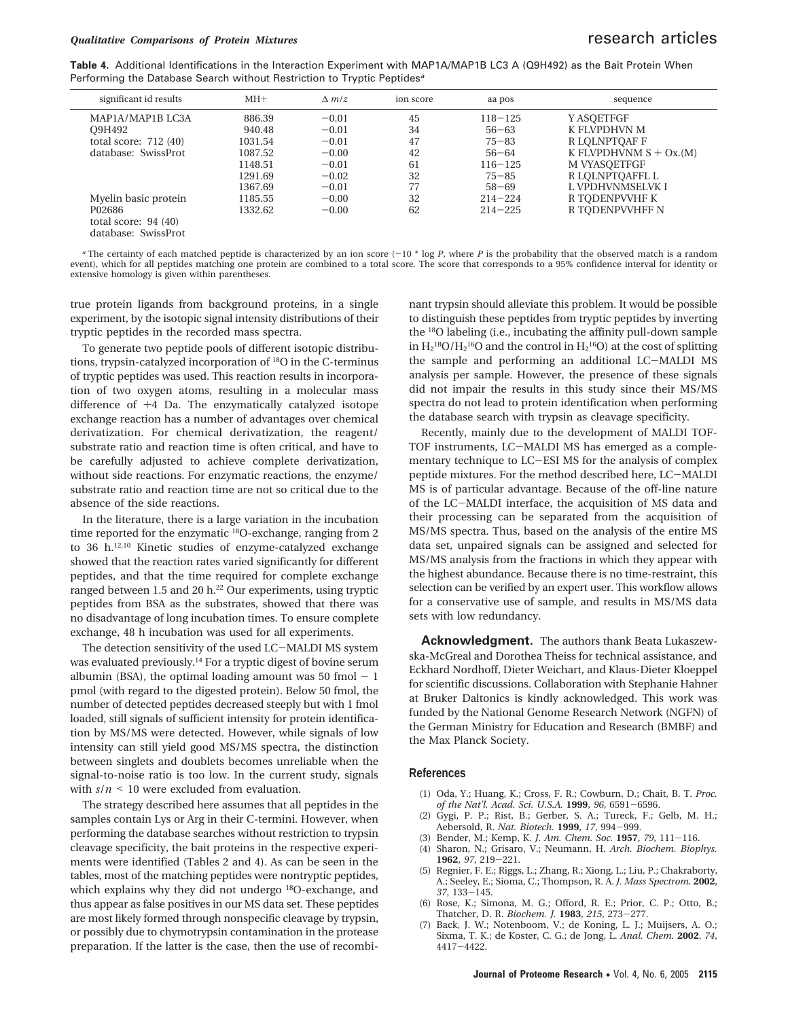**Table 4.** Additional Identifications in the Interaction Experiment with MAP1A/MAP1B LC3 A (Q9H492) as the Bait Protein When Performing the Database Search without Restriction to Tryptic Peptides<sup>a</sup>

| significant id results | $MH+$   | $\Lambda$ m/z | ion score | aa pos      | sequence                 |
|------------------------|---------|---------------|-----------|-------------|--------------------------|
| MAP1A/MAP1B LC3A       | 886.39  | $-0.01$       | 45        | $118 - 125$ | Y ASOETFGF               |
| O9H492                 | 940.48  | $-0.01$       | 34        | $56 - 63$   | K FLVPDHVN M             |
| total score: $712(40)$ | 1031.54 | $-0.01$       | 47        | $75 - 83$   | R LOLNPTOAF F            |
| database: SwissProt    | 1087.52 | $-0.00$       | 42        | $56 - 64$   | K FLVPDHVNM $S + Ox.(M)$ |
|                        | 1148.51 | $-0.01$       | 61        | $116 - 125$ | M VYASOETFGF             |
|                        | 1291.69 | $-0.02$       | 32        | $75 - 85$   | R LOLNPTOAFFL L          |
|                        | 1367.69 | $-0.01$       | 77        | $58 - 69$   | L VPDHVNMSELVK I         |
| Myelin basic protein   | 1185.55 | $-0.00$       | 32        | $214 - 224$ | R TODENPVVHF K           |
| P02686                 | 1332.62 | $-0.00$       | 62        | $214 - 225$ | R TODENPVVHFF N          |
| total score: $94(40)$  |         |               |           |             |                          |
| database: SwissProt    |         |               |           |             |                          |

*a* The certainty of each matched peptide is characterized by an ion score  $(-10 * \log P)$ , where *P* is the probability that the observed match is a random event), which for all peptides matching one protein are combined to a total score*.* The score that corresponds to a 95% confidence interval for identity or extensive homology is given within parentheses.

true protein ligands from background proteins, in a single experiment, by the isotopic signal intensity distributions of their tryptic peptides in the recorded mass spectra.

To generate two peptide pools of different isotopic distributions, trypsin-catalyzed incorporation of 18O in the C-terminus of tryptic peptides was used. This reaction results in incorporation of two oxygen atoms, resulting in a molecular mass difference of +4 Da. The enzymatically catalyzed isotope exchange reaction has a number of advantages over chemical derivatization. For chemical derivatization, the reagent/ substrate ratio and reaction time is often critical, and have to be carefully adjusted to achieve complete derivatization, without side reactions. For enzymatic reactions, the enzyme/ substrate ratio and reaction time are not so critical due to the absence of the side reactions.

In the literature, there is a large variation in the incubation time reported for the enzymatic <sup>18</sup>O-exchange, ranging from 2 to 36 h.12,10 Kinetic studies of enzyme-catalyzed exchange showed that the reaction rates varied significantly for different peptides, and that the time required for complete exchange ranged between 1.5 and 20 h.<sup>22</sup> Our experiments, using tryptic peptides from BSA as the substrates, showed that there was no disadvantage of long incubation times. To ensure complete exchange, 48 h incubation was used for all experiments.

The detection sensitivity of the used LC-MALDI MS system was evaluated previously.<sup>14</sup> For a tryptic digest of bovine serum albumin (BSA), the optimal loading amount was  $50 \text{ fmol} - 1$ pmol (with regard to the digested protein). Below 50 fmol, the number of detected peptides decreased steeply but with 1 fmol loaded, still signals of sufficient intensity for protein identification by MS/MS were detected. However, while signals of low intensity can still yield good MS/MS spectra, the distinction between singlets and doublets becomes unreliable when the signal-to-noise ratio is too low. In the current study, signals with  $s/n \leq 10$  were excluded from evaluation.

The strategy described here assumes that all peptides in the samples contain Lys or Arg in their C-termini. However, when performing the database searches without restriction to trypsin cleavage specificity, the bait proteins in the respective experiments were identified (Tables 2 and 4). As can be seen in the tables, most of the matching peptides were nontryptic peptides, which explains why they did not undergo <sup>18</sup>O-exchange, and thus appear as false positives in our MS data set. These peptides are most likely formed through nonspecific cleavage by trypsin, or possibly due to chymotrypsin contamination in the protease preparation. If the latter is the case, then the use of recombinant trypsin should alleviate this problem. It would be possible to distinguish these peptides from tryptic peptides by inverting the 18O labeling (i.e., incubating the affinity pull-down sample in  $\rm H_2^{18}O/H_2^{16}O$  and the control in  $\rm H_2^{16}O$ ) at the cost of splitting the sample and performing an additional LC-MALDI MS analysis per sample. However, the presence of these signals did not impair the results in this study since their MS/MS spectra do not lead to protein identification when performing the database search with trypsin as cleavage specificity.

Recently, mainly due to the development of MALDI TOF-TOF instruments, LC-MALDI MS has emerged as a complementary technique to LC-ESI MS for the analysis of complex peptide mixtures. For the method described here, LC-MALDI MS is of particular advantage. Because of the off-line nature of the LC-MALDI interface, the acquisition of MS data and their processing can be separated from the acquisition of MS/MS spectra. Thus, based on the analysis of the entire MS data set, unpaired signals can be assigned and selected for MS/MS analysis from the fractions in which they appear with the highest abundance. Because there is no time-restraint, this selection can be verified by an expert user. This workflow allows for a conservative use of sample, and results in MS/MS data sets with low redundancy.

**Acknowledgment.** The authors thank Beata Lukaszewska-McGreal and Dorothea Theiss for technical assistance, and Eckhard Nordhoff, Dieter Weichart, and Klaus-Dieter Kloeppel for scientific discussions. Collaboration with Stephanie Hahner at Bruker Daltonics is kindly acknowledged. This work was funded by the National Genome Research Network (NGFN) of the German Ministry for Education and Research (BMBF) and the Max Planck Society.

#### **References**

- (1) Oda, Y.; Huang, K.; Cross, F. R.; Cowburn, D.; Chait, B. T. *Proc. of the Nat'l. Acad. Sci. U.S.A.* **<sup>1999</sup>**, *<sup>96</sup>*, 6591-6596.
- (2) Gygi, P. P.; Rist, B.; Gerber, S. A.; Tureck, F.; Gelb, M. H.; Aebersold, R. *Nat. Biotech.* **<sup>1999</sup>**, *<sup>17</sup>*, 994-999.
- (3) Bender, M.; Kemp, K. *J. Am. Chem. Soc.* **<sup>1957</sup>**, *<sup>79</sup>*, 111-116.
- (4) Sharon, N.; Grisaro, V.; Neumann, H. *Arch. Biochem. Biophys.* **<sup>1962</sup>**, *<sup>97</sup>*, 219-221.
- (5) Regnier, F. E.; Riggs, L.; Zhang, R.; Xiong, L.; Liu, P.; Chakraborty, A.; Seeley, E.; Sioma, C.; Thompson, R. A. *J. Mass Spectrom*. **2002**, *<sup>37</sup>*, 133-145.
- (6) Rose, K.; Simona, M. G.; Offord, R. E.; Prior, C. P.; Otto, B.; Thatcher, D. R. *Biochem. J.* **<sup>1983</sup>**, *<sup>215</sup>*, 273-277.
- (7) Back, J. W.; Notenboom, V.; de Koning, L. J.; Muijsers, A. O.; Sixma, T. K.; de Koster, C. G.; de Jong, L. *Anal. Chem.* **2002**, *74*, <sup>4417</sup>-4422.